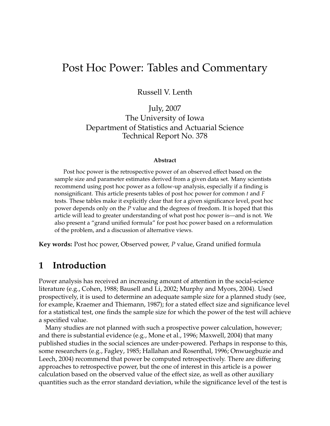# Post Hoc Power: Tables and Commentary

Russell V. Lenth

July, 2007 The University of Iowa Department of Statistics and Actuarial Science Technical Report No. 378

#### **Abstract**

Post hoc power is the retrospective power of an observed effect based on the sample size and parameter estimates derived from a given data set. Many scientists recommend using post hoc power as a follow-up analysis, especially if a finding is nonsignificant. This article presents tables of post hoc power for common *t* and *F* tests. These tables make it explicitly clear that for a given significance level, post hoc power depends only on the *P* value and the degrees of freedom. It is hoped that this article will lead to greater understanding of what post hoc power is—and is not. We also present a "grand unified formula" for post hoc power based on a reformulation of the problem, and a discussion of alternative views.

**Key words:** Post hoc power, Observed power, *P* value, Grand unified formula

# **1 Introduction**

Power analysis has received an increasing amount of attention in the social-science literature (e.g., Cohen, 1988; Bausell and Li, 2002; Murphy and Myors, 2004). Used prospectively, it is used to determine an adequate sample size for a planned study (see, for example, Kraemer and Thiemann, 1987); for a stated effect size and significance level for a statistical test, one finds the sample size for which the power of the test will achieve a specified value.

Many studies are not planned with such a prospective power calculation, however; and there is substantial evidence (e.g., Mone et al., 1996; Maxwell, 2004) that many published studies in the social sciences are under-powered. Perhaps in response to this, some researchers (e.g., Fagley, 1985; Hallahan and Rosenthal, 1996; Onwuegbuzie and Leech, 2004) recommend that power be computed retrospectively. There are differing approaches to retrospective power, but the one of interest in this article is a power calculation based on the observed value of the effect size, as well as other auxiliary quantities such as the error standard deviation, while the significance level of the test is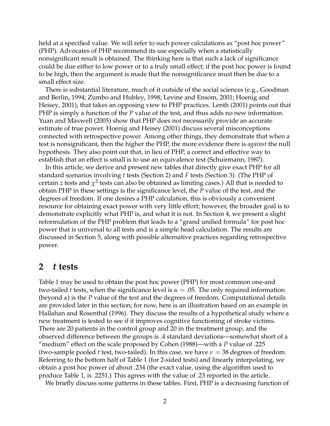held at a specified value. We will refer to such power calculations as "post hoc power" (PHP). Advocates of PHP recommend its use especially when a statistically nonsignificant result is obtained. The thinking here is that such a lack of significance could be due either to low power or to a truly small effect; if the post hoc power is found to be high, then the argument is made that the nonsignificance must then be due to a small effect size.

There is substantial literature, much of it outside of the social sciences (e.g., Goodman and Berlin, 1994; Zumbo and Hubley, 1998; Levine and Ensom, 2001; Hoenig and Heisey, 2001), that takes an opposing view to PHP practices. Lenth (2001) points out that PHP is simply a function of the *P* value of the test, and thus adds no new information. Yuan and Maxwell (2005) show that PHP does not necessarily provide an accurate estimate of true power. Hoenig and Heisey (2001) discuss several misconceptions connected with retrospective power. Among other things, they demonstrate that when a test is nonsignificant, then the higher the PHP, the more evidence there is *against* the null hypothesis. They also point out that, in lieu of PHP, a correct and effective way to establish that an effect is small is to use an equivalence test (Schuirmann, 1987).

In this article, we derive and present new tables that directly give exact PHP for all standard scenarios involving *t* tests (Section 2) and *F* tests (Section 3). (The PHP of  $\operatorname{certain}$   $z$  tests and  $\chi^2$  tests can also be obtained as limiting cases.) All that is needed to obtain PHP in these settings is the significance level, the *P* value of the test, and the degrees of freedom. If one desires a PHP calculation, this is obviously a convenient resource for obtaining exact power with very little effort; however, the broader goal is to demonstrate explicitly what PHP is, and what it is not. In Section 4, we present a slight reformulation of the PHP problem that leads to a "grand unified formula" for post hoc power that is universal to all tests and is a simple head calculation. The results are discussed in Section 5, along with possible alternative practices regarding retrospective power.

### **2** *t* **tests**

Table 1 may be used to obtain the post hoc power (PHP) for most common one-and two-tailed *t* tests, when the significance level is  $\alpha = 0.05$ . The only required information (beyond *α*) is the *P* value of the test and the degrees of freedom. Computational details are provided later in this section; for now, here is an illustration based on an example in Hallahan and Rosenthal (1996). They discuss the results of a hypothetical study where a new treatment is tested to see if it improves cognitive functioning of stroke victims. There are 20 patients in the control group and 20 in the treatment group, and the observed difference between the groups is .4 standard deviations—somewhat short of a "medium" effect on the scale proposed by Cohen (1988)—with a *P* value of .225 (two-sample pooled *t* test, two-tailed). In this case, we have  $\nu = 38$  degrees of freedom. Referring to the bottom half of Table 1 (for 2-sided tests) and linearly interpolating, we obtain a post hoc power of about .234 (the exact value, using the algorithm used to produce Table 1, is .2251.) This agrees with the value of .23 reported in the article.

We briefly discuss some patterns in these tables. First, PHP is a decreasing function of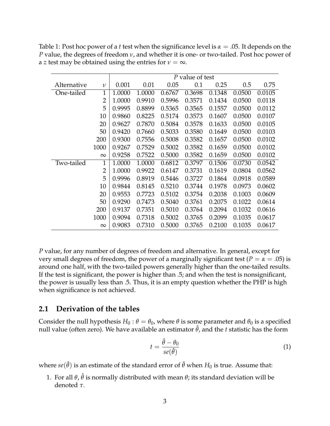|             |                | P value of test |        |        |        |        |        |        |  |
|-------------|----------------|-----------------|--------|--------|--------|--------|--------|--------|--|
| Alternative | $\mathcal V$   | 0.001           | 0.01   | 0.05   | 0.1    | 0.25   | 0.5    | 0.75   |  |
| One-tailed  | 1              | 1.0000          | 1.0000 | 0.6767 | 0.3698 | 0.1348 | 0.0500 | 0.0105 |  |
|             | $\overline{2}$ | 1.0000          | 0.9910 | 0.5996 | 0.3571 | 0.1434 | 0.0500 | 0.0118 |  |
|             | 5              | 0.9995          | 0.8899 | 0.5365 | 0.3565 | 0.1557 | 0.0500 | 0.0112 |  |
|             | 10             | 0.9860          | 0.8225 | 0.5174 | 0.3573 | 0.1607 | 0.0500 | 0.0107 |  |
|             | 20             | 0.9627          | 0.7870 | 0.5084 | 0.3578 | 0.1633 | 0.0500 | 0.0105 |  |
|             | 50             | 0.9420          | 0.7660 | 0.5033 | 0.3580 | 0.1649 | 0.0500 | 0.0103 |  |
|             | 200            | 0.9300          | 0.7556 | 0.5008 | 0.3582 | 0.1657 | 0.0500 | 0.0102 |  |
|             | 1000           | 0.9267          | 0.7529 | 0.5002 | 0.3582 | 0.1659 | 0.0500 | 0.0102 |  |
|             | $\infty$       | 0.9258          | 0.7522 | 0.5000 | 0.3582 | 0.1659 | 0.0500 | 0.0102 |  |
| Two-tailed  | 1              | 1.0000          | 1.0000 | 0.6812 | 0.3797 | 0.1506 | 0.0730 | 0.0542 |  |
|             | $\overline{2}$ | 1.0000          | 0.9922 | 0.6147 | 0.3731 | 0.1619 | 0.0804 | 0.0562 |  |
|             | 5              | 0.9996          | 0.8919 | 0.5446 | 0.3727 | 0.1864 | 0.0918 | 0.0589 |  |
|             | 10             | 0.9844          | 0.8145 | 0.5210 | 0.3744 | 0.1978 | 0.0973 | 0.0602 |  |
|             | 20             | 0.9553          | 0.7723 | 0.5102 | 0.3754 | 0.2038 | 0.1003 | 0.0609 |  |
|             | 50             | 0.9290          | 0.7473 | 0.5040 | 0.3761 | 0.2075 | 0.1022 | 0.0614 |  |
|             | 200            | 0.9137          | 0.7351 | 0.5010 | 0.3764 | 0.2094 | 0.1032 | 0.0616 |  |
|             | 1000           | 0.9094          | 0.7318 | 0.5002 | 0.3765 | 0.2099 | 0.1035 | 0.0617 |  |
|             | $\infty$       | 0.9083          | 0.7310 | 0.5000 | 0.3765 | 0.2100 | 0.1035 | 0.0617 |  |

Table 1: Post hoc power of a *t* test when the significance level is *α* = .05. It depends on the *P* value, the degrees of freedom *ν*, and whether it is one- or two-tailed. Post hoc power of a *z* test may be obtained using the entries for  $\nu = \infty$ .

*P* value, for any number of degrees of freedom and alternative. In general, except for very small degrees of freedom, the power of a marginally significant test ( $P = \alpha = .05$ ) is around one half, with the two-tailed powers generally higher than the one-tailed results. If the test is significant, the power is higher than .5; and when the test is nonsignificant, the power is usually less than .5. Thus, it is an empty question whether the PHP is high when significance is not achieved.

#### **2.1 Derivation of the tables**

Consider the null hypothesis  $H_0: \theta = \theta_0$ , where  $\theta$  is some parameter and  $\theta_0$  is a specified null value (often zero). We have available an estimator  $\hat{\theta}$ , and the *t* statistic has the form

$$
t = \frac{\hat{\theta} - \theta_0}{se(\hat{\theta})} \tag{1}
$$

where  $se(\hat{\theta})$  is an estimate of the standard error of  $\hat{\theta}$  when  $H_0$  is true. Assume that:

1. For all  $\theta$ ,  $\hat{\theta}$  is normally distributed with mean  $\theta$ ; its standard deviation will be denoted *τ*.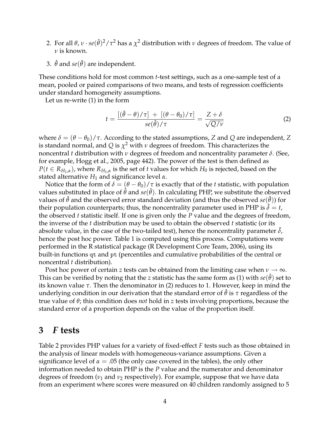- 2. For all  $\theta$ ,  $\nu\cdot se(\hat\theta)^2/\tau^2$  has a  $\chi^2$  distribution with  $\nu$  degrees of freedom. The value of *ν* is known.
- 3.  $\hat{\theta}$  and  $se(\hat{\theta})$  are independent.

These conditions hold for most common *t*-test settings, such as a one-sample test of a mean, pooled or paired comparisons of two means, and tests of regression coefficients under standard homogeneity assumptions.

Let us re-write (1) in the form

$$
t = \frac{\left[ (\hat{\theta} - \theta) / \tau \right] + \left[ (\theta - \theta_0) / \tau \right]}{se(\hat{\theta}) / \tau} = \frac{Z + \delta}{\sqrt{Q / \nu}}
$$
(2)

where  $\delta = (\theta - \theta_0)/\tau$ . According to the stated assumptions, *Z* and *Q* are independent, *Z* is standard normal, and *Q* is *χ* <sup>2</sup> with *ν* degrees of freedom. This characterizes the noncentral *t* distribution with *ν* degrees of freedom and noncentrality parameter *δ*. (See, for example, Hogg et al., 2005, page 442). The power of the test is then defined as  $P(t \in R_{H_1,\alpha})$ , where  $R_{H_1,\alpha}$  is the set of *t* values for which  $H_0$  is rejected, based on the stated alternative *H*<sup>1</sup> and significance level *α*.

Notice that the form of  $\delta = (\theta - \theta_0)/\tau$  is exactly that of the *t* statistic, with population values substituted in place of  $\hat{\theta}$  and  $se(\hat{\theta})$ . In calculating PHP, we substitute the observed values of  $\hat{\theta}$  and the observed error standard deviation (and thus the observed  $se(\hat{\theta})$ ) for their population counterparts; thus, the noncentrality parameter used in PHP is  $\delta = t$ , the observed *t* statistic itself. If one is given only the *P* value and the degrees of freedom, the inverse of the *t* distribution may be used to obtain the observed *t* statistic (or its absolute value, in the case of the two-tailed test), hence the noncentrality parameter  $\delta$ , hence the post hoc power. Table 1 is computed using this process. Computations were performed in the R statistical package (R Development Core Team, 2006), using its built-in functions qt and pt (percentiles and cumulative probabilities of the central or noncentral *t* distribution).

Post hoc power of certain *z* tests can be obtained from the limiting case when  $\nu \rightarrow \infty$ . This can be verified by noting that the *z* statistic has the same form as (1) with  $se(\hat{\theta})$  set to its known value *τ*. Then the denominator in (2) reduces to 1. However, keep in mind the underlying condition in our derivation that the standard error of  $\hat{\theta}$  is  $\tau$  regardless of the true value of *θ*; this condition does *not* hold in *z* tests involving proportions, because the standard error of a proportion depends on the value of the proportion itself.

# **3** *F* **tests**

Table 2 provides PHP values for a variety of fixed-effect *F* tests such as those obtained in the analysis of linear models with homogeneous-variance assumptions. Given a significance level of  $\alpha = 0.05$  (the only case covered in the tables), the only other information needed to obtain PHP is the *P* value and the numerator and denominator degrees of freedom (*ν*<sub>1</sub> and *ν*<sub>2</sub> respectively). For example, suppose that we have data from an experiment where scores were measured on 40 children randomly assigned to 5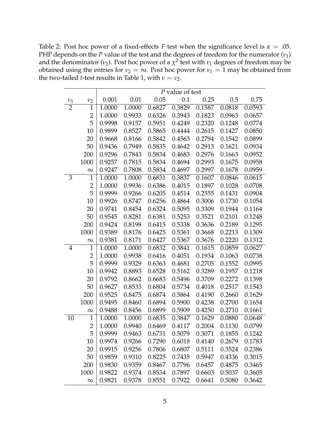Table 2: Post hoc power of a fixed-effects *F* test when the significance level is  $\alpha = .05$ . PHP depends on the *P* value of the test and the degrees of freedom for the numerator  $(v_1)$ and the denominator ( $\nu_2$ ). Post hoc power of a  $\chi^2$  test with  $\nu_1$  degrees of freedom may be obtained using the entries for  $v_2 = \infty$ . Post hoc power for  $v_1 = 1$  may be obtained from the two-tailed *t*-test results in Table 1, with  $\nu = \nu_2$ .

|                |                | P value of test |        |        |        |        |        |        |  |  |  |
|----------------|----------------|-----------------|--------|--------|--------|--------|--------|--------|--|--|--|
| $\nu_1$        | $\nu_2$        | 0.001           | 0.01   | 0.05   | 0.1    | 0.25   | 0.5    | 0.75   |  |  |  |
| $\overline{2}$ | $\mathbf{1}$   | 1.0000          | 1.0000 | 0.6827 | 0.3829 | 0.1587 | 0.0818 | 0.0593 |  |  |  |
|                | $\overline{c}$ | 1.0000          | 0.9933 | 0.6326 | 0.3943 | 0.1823 | 0.0963 | 0.0657 |  |  |  |
|                | 5              | 0.9998          | 0.9157 | 0.5951 | 0.4249 | 0.2320 | 0.1248 | 0.0774 |  |  |  |
|                | 10             | 0.9899          | 0.8527 | 0.5865 | 0.4444 | 0.2615 | 0.1427 | 0.0850 |  |  |  |
|                | 20             | 0.9668          | 0.8166 | 0.5842 | 0.4563 | 0.2794 | 0.1542 | 0.0899 |  |  |  |
|                | 50             | 0.9436          | 0.7949 | 0.5835 | 0.4642 | 0.2913 | 0.1621 | 0.0934 |  |  |  |
|                | 200            | 0.9296          | 0.7843 | 0.5834 | 0.4683 | 0.2976 | 0.1663 | 0.0952 |  |  |  |
|                | 1000           | 0.9257          | 0.7815 | 0.5834 | 0.4694 | 0.2993 | 0.1675 | 0.0958 |  |  |  |
|                | $\infty$       | 0.9247          | 0.7808 | 0.5834 | 0.4697 | 0.2997 | 0.1678 | 0.0959 |  |  |  |
| 3              | $\mathbf{1}$   | 1.0000          | 1.0000 | 0.6831 | 0.3837 | 0.1607 | 0.0846 | 0.0615 |  |  |  |
|                | $\overline{c}$ | 1.0000          | 0.9936 | 0.6386 | 0.4015 | 0.1897 | 0.1028 | 0.0708 |  |  |  |
|                | 5              | 0.9999          | 0.9266 | 0.6205 | 0.4514 | 0.2555 | 0.1431 | 0.0904 |  |  |  |
|                | 10             | 0.9926          | 0.8747 | 0.6256 | 0.4864 | 0.3006 | 0.1730 | 0.1054 |  |  |  |
|                | 20             | 0.9741          | 0.8454 | 0.6324 | 0.5095 | 0.3309 | 0.1944 | 0.1164 |  |  |  |
|                | 50             | 0.9545          | 0.8281 | 0.6381 | 0.5253 | 0.3521 | 0.2101 | 0.1248 |  |  |  |
|                | 200            | 0.9424          | 0.8198 | 0.6415 | 0.5338 | 0.3636 | 0.2189 | 0.1295 |  |  |  |
|                | 1000           | 0.9389          | 0.8176 | 0.6425 | 0.5361 | 0.3668 | 0.2213 | 0.1309 |  |  |  |
|                | $\infty$       | 0.9381          | 0.8171 | 0.6427 | 0.5367 | 0.3676 | 0.2220 | 0.1312 |  |  |  |
| 4              | $\mathbf{1}$   | 1.0000          | 1.0000 | 0.6832 | 0.3841 | 0.1615 | 0.0859 | 0.0627 |  |  |  |
|                | $\overline{2}$ | 1.0000          | 0.9938 | 0.6416 | 0.4051 | 0.1934 | 0.1063 | 0.0738 |  |  |  |
|                | 5              | 0.9999          | 0.9329 | 0.6363 | 0.4681 | 0.2705 | 0.1552 | 0.0995 |  |  |  |
|                | 10             | 0.9942          | 0.8893 | 0.6528 | 0.5162 | 0.3289 | 0.1957 | 0.1218 |  |  |  |
|                | 20             | 0.9792          | 0.8662 | 0.6683 | 0.5496 | 0.3709 | 0.2272 | 0.1398 |  |  |  |
|                | 50             | 0.9627          | 0.8533 | 0.6804 | 0.5734 | 0.4018 | 0.2517 | 0.1543 |  |  |  |
|                | 200            | 0.9525          | 0.8475 | 0.6874 | 0.5864 | 0.4190 | 0.2660 | 0.1629 |  |  |  |
|                | 1000           | 0.9495          | 0.8460 | 0.6894 | 0.5900 | 0.4238 | 0.2700 | 0.1654 |  |  |  |
|                | $\infty$       | 0.9488          | 0.8456 | 0.6899 | 0.5909 | 0.4250 | 0.2710 | 0.1661 |  |  |  |
| 10             | $\overline{1}$ | 1.0000          | 1.0000 | 0.6835 | 0.3847 | 0.1629 | 0.0880 | 0.0648 |  |  |  |
|                | $\overline{2}$ | 1.0000          | 0.9940 | 0.6469 | 0.4117 | 0.2004 | 0.1130 | 0.0799 |  |  |  |
|                | 5              | 0.9999          | 0.9463 | 0.6731 | 0.5079 | 0.3071 | 0.1855 | 0.1242 |  |  |  |
|                | 10             | 0.9974          | 0.9266 | 0.7290 | 0.6018 | 0.4140 | 0.2679 | 0.1783 |  |  |  |
|                | 20             | 0.9915          | 0.9256 | 0.7806 | 0.6807 | 0.5111 | 0.3524 | 0.2386 |  |  |  |
|                | 50             | 0.9859          | 0.9310 | 0.8225 | 0.7435 | 0.5947 | 0.4336 | 0.3015 |  |  |  |
|                | 200            | 0.9830          | 0.9359 | 0.8467 | 0.7796 | 0.6457 | 0.4875 | 0.3465 |  |  |  |
|                | 1000           | 0.9822          | 0.9374 | 0.8534 | 0.7897 | 0.6603 | 0.5037 | 0.3605 |  |  |  |
|                | $\infty$       | 0.9821          | 0.9378 | 0.8551 | 0.7922 | 0.6641 | 0.5080 | 0.3642 |  |  |  |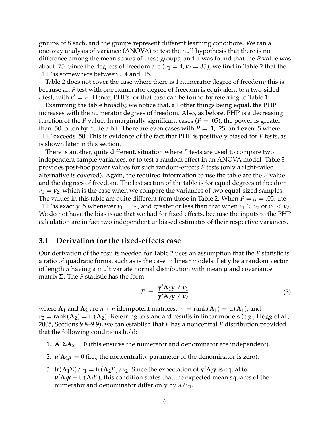groups of 8 each, and the groups represent different learning conditions. We ran a one-way analysis of variance (ANOVA) to test the null hypothesis that there is no difference among the mean scores of these groups, and it was found that the *P* value was about .75. Since the degrees of freedom are  $(\nu_1 = 4, \nu_2 = 35)$ , we find in Table 2 that the PHP is somewhere between .14 and .15.

Table 2 does not cover the case where there is 1 numerator degree of freedom; this is because an *F* test with one numerator degree of freedom is equivalent to a two-sided *t* test, with  $t^2 = F$ . Hence, PHPs for that case can be found by referring to Table 1.

Examining the table broadly, we notice that, all other things being equal, the PHP increases with the numerator degrees of freedom. Also, as before, PHP is a decreasing function of the *P* value. In marginally significant cases ( $P = .05$ ), the power is greater than .50, often by quite a bit. There are even cases with  $P = .1, .25,$  and even .5 where PHP exceeds .50. This is evidence of the fact that PHP is positively biased for *F* tests, as is shown later in this section.

There is another, quite different, situation where *F* tests are used to compare two independent sample variances, or to test a random effect in an ANOVA model. Table 3 provides post-hoc power values for such random-effects *F* tests (only a right-tailed alternative is covered). Again, the required information to use the table are the *P* value and the degrees of freedom. The last section of the table is for equal degrees of freedom  $\nu_1 = \nu_2$ , which is the case when we compare the variances of two equal-sized samples. The values in this table are quite different from those in Table 2. When  $P = \alpha = .05$ , the PHP is exactly .5 whenever  $\nu_1 = \nu_2$ , and greater or less than that when  $\nu_1 > \nu_2$  or  $\nu_1 < \nu_2$ . We do not have the bias issue that we had for fixed effects, because the inputs to the PHP calculation are in fact two independent unbiased estimates of their respective variances.

### **3.1 Derivation for the fixed-effects case**

Our derivation of the results needed for Table 2 uses an assumption that the *F* statistic is a ratio of quadratic forms, such as is the case in linear models. Let **y** be a random vector of length *n* having a multivariate normal distribution with mean *µ* and covariance matrix **Σ**. The *F* statistic has the form

$$
F = \frac{\mathbf{y}' \mathbf{A}_1 \mathbf{y} / v_1}{\mathbf{y}' \mathbf{A}_2 \mathbf{y} / v_2}
$$
 (3)

where  $\mathbf{A}_1$  and  $\mathbf{A}_2$  are  $n \times n$  idempotent matrices,  $v_1 = \text{rank}(\mathbf{A}_1) = \text{tr}(\mathbf{A}_1)$ , and  $\nu_2$  = rank( $\mathbf{A}_2$ ) = tr( $\mathbf{A}_2$ ). Referring to standard results in linear models (e.g., Hogg et al., 2005, Sections 9.8–9.9), we can establish that *F* has a noncentral *F* distribution provided that the following conditions hold:

- 1.  $A_1 \Sigma A_2 = 0$  (this ensures the numerator and denominator are independent).
- 2.  $\mathbf{\mu}'\mathbf{A}_2\mathbf{\mu} = 0$  (i.e., the noncentrality parameter of the denominator is zero).
- 3.  $tr(A_1\Sigma)/v_1 = tr(A_2\Sigma)/v_2$ . Since the expectation of  $y'A_iy$  is equal to  $\boldsymbol{\mu}'\mathbf{A}_i\boldsymbol{\mu} + \text{tr}(\mathbf{A}_i\boldsymbol{\Sigma})$ , this condition states that the expected mean squares of the numerator and denominator differ only by *λ*/*ν*1.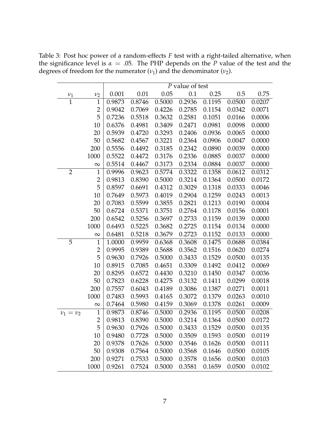Table 3: Post hoc power of a random-effects *F* test with a right-tailed alternative, when the significance level is  $\alpha = 0.05$ . The PHP depends on the *P* value of the test and the degrees of freedom for the numerator  $(v_1)$  and the denominator  $(v_2)$ .

|                   |                | P value of test |        |        |        |        |        |        |
|-------------------|----------------|-----------------|--------|--------|--------|--------|--------|--------|
|                   | v <sub>2</sub> | 0.001           | 0.01   | 0.05   | 0.1    | 0.25   | 0.5    | 0.75   |
| $\frac{\nu_1}{1}$ | $\mathbf{1}$   | 0.9873          | 0.8746 | 0.5000 | 0.2936 | 0.1195 | 0.0500 | 0.0207 |
|                   | $\overline{2}$ | 0.9042          | 0.7069 | 0.4226 | 0.2785 | 0.1154 | 0.0342 | 0.0071 |
|                   | 5              | 0.7236          | 0.5518 | 0.3632 | 0.2581 | 0.1051 | 0.0166 | 0.0006 |
|                   | 10             | 0.6376          | 0.4981 | 0.3409 | 0.2471 | 0.0981 | 0.0098 | 0.0000 |
|                   | 20             | 0.5939          | 0.4720 | 0.3293 | 0.2406 | 0.0936 | 0.0065 | 0.0000 |
|                   | 50             | 0.5682          | 0.4567 | 0.3221 | 0.2364 | 0.0906 | 0.0047 | 0.0000 |
|                   | 200            | 0.5556          | 0.4492 | 0.3185 | 0.2342 | 0.0890 | 0.0039 | 0.0000 |
|                   | 1000           | 0.5522          | 0.4472 | 0.3176 | 0.2336 | 0.0885 | 0.0037 | 0.0000 |
|                   | $\infty$       | 0.5514          | 0.4467 | 0.3173 | 0.2334 | 0.0884 | 0.0037 | 0.0000 |
| $\overline{2}$    | $\mathbf 1$    | 0.9996          | 0.9623 | 0.5774 | 0.3322 | 0.1358 | 0.0612 | 0.0312 |
|                   | $\overline{2}$ | 0.9813          | 0.8390 | 0.5000 | 0.3214 | 0.1364 | 0.0500 | 0.0172 |
|                   | 5              | 0.8597          | 0.6691 | 0.4312 | 0.3029 | 0.1318 | 0.0333 | 0.0046 |
|                   | 10             | 0.7649          | 0.5973 | 0.4019 | 0.2904 | 0.1259 | 0.0243 | 0.0013 |
|                   | 20             | 0.7083          | 0.5599 | 0.3855 | 0.2821 | 0.1213 | 0.0190 | 0.0004 |
|                   | 50             | 0.6724          | 0.5371 | 0.3751 | 0.2764 | 0.1178 | 0.0156 | 0.0001 |
|                   | 200            | 0.6542          | 0.5256 | 0.3697 | 0.2733 | 0.1159 | 0.0139 | 0.0000 |
|                   | 1000           | 0.6493          | 0.5225 | 0.3682 | 0.2725 | 0.1154 | 0.0134 | 0.0000 |
|                   | $\infty$       | 0.6481          | 0.5218 | 0.3679 | 0.2723 | 0.1152 | 0.0133 | 0.0000 |
| 5                 | $\mathbf{1}$   | 1.0000          | 0.9959 | 0.6368 | 0.3608 | 0.1475 | 0.0688 | 0.0384 |
|                   | $\overline{2}$ | 0.9995          | 0.9389 | 0.5688 | 0.3562 | 0.1516 | 0.0620 | 0.0274 |
|                   | 5              | 0.9630          | 0.7926 | 0.5000 | 0.3433 | 0.1529 | 0.0500 | 0.0135 |
|                   | 10             | 0.8915          | 0.7085 | 0.4651 | 0.3309 | 0.1492 | 0.0412 | 0.0069 |
|                   | 20             | 0.8295          | 0.6572 | 0.4430 | 0.3210 | 0.1450 | 0.0347 | 0.0036 |
|                   | 50             | 0.7823          | 0.6228 | 0.4275 | 0.3132 | 0.1411 | 0.0299 | 0.0018 |
|                   | 200            | 0.7557          | 0.6043 | 0.4189 | 0.3086 | 0.1387 | 0.0271 | 0.0011 |
|                   | 1000           | 0.7483          | 0.5993 | 0.4165 | 0.3072 | 0.1379 | 0.0263 | 0.0010 |
|                   | $\infty$       | 0.7464          | 0.5980 | 0.4159 | 0.3069 | 0.1378 | 0.0261 | 0.0009 |
| $\nu_1 = \nu_2$   | $\mathbf{1}$   | 0.9873          | 0.8746 | 0.5000 | 0.2936 | 0.1195 | 0.0500 | 0.0208 |
|                   | $\overline{2}$ | 0.9813          | 0.8390 | 0.5000 | 0.3214 | 0.1364 | 0.0500 | 0.0172 |
|                   | 5              | 0.9630          | 0.7926 | 0.5000 | 0.3433 | 0.1529 | 0.0500 | 0.0135 |
|                   | 10             | 0.9480          | 0.7728 | 0.5000 | 0.3509 | 0.1593 | 0.0500 | 0.0119 |
|                   | 20             | 0.9378          | 0.7626 | 0.5000 | 0.3546 | 0.1626 | 0.0500 | 0.0111 |
|                   | 50             | 0.9308          | 0.7564 | 0.5000 | 0.3568 | 0.1646 | 0.0500 | 0.0105 |
|                   | 200            | 0.9271          | 0.7533 | 0.5000 | 0.3578 | 0.1656 | 0.0500 | 0.0103 |
|                   | 1000           | 0.9261          | 0.7524 | 0.5000 | 0.3581 | 0.1659 | 0.0500 | 0.0102 |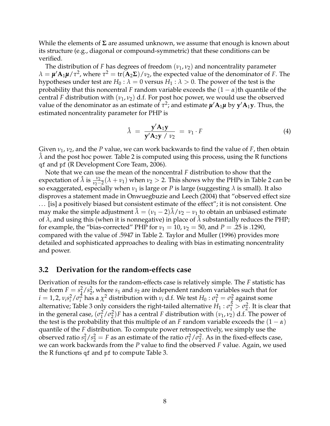While the elements of **Σ** are assumed unknown, we assume that enough is known about its structure (e.g., diagonal or compound-symmetric) that these conditions can be verified.

The distribution of *F* has degrees of freedom  $(v_1, v_2)$  and noncentrality parameter *λ* =  $\mu'$ **A**<sub>1</sub> $\mu$ /*τ*<sup>2</sup>, where *τ*<sup>2</sup> = tr(**A**<sub>2</sub>**Σ**)/*ν*<sub>2</sub>, the expected value of the denominator of *F*. The hypotheses under test are  $H_0$ :  $\lambda = 0$  versus  $H_1$ :  $\lambda > 0$ . The power of the test is the probability that this noncentral *F* random variable exceeds the  $(1 - \alpha)$ th quantile of the central *F* distribution with  $(\nu_1, \nu_2)$  d.f. For post hoc power, we would use the observed  ${\bf v}$ alue of the denominator as an estimate of  $\tau^2$ ; and estimate  ${\pmb{\mu}}' {\bf A}_1 {\pmb{\mu}}$  by  ${\bf y}' {\bf A}_1 {\bf y}$ . Thus, the estimated noncentrality parameter for PHP is

$$
\hat{\lambda} = \frac{\mathbf{y}' \mathbf{A}_1 \mathbf{y}}{\mathbf{y}' \mathbf{A}_2 \mathbf{y} / \nu_2} = \nu_1 \cdot F \tag{4}
$$

Given  $v_1$ ,  $v_2$ , and the *P* value, we can work backwards to find the value of *F*, then obtain  $\lambda$  and the post hoc power. Table 2 is computed using this process, using the R functions qf and pf (R Development Core Team, 2006).

Note that we can use the mean of the noncentral *F* distribution to show that the expectation of  $\hat{\lambda}$  is  $\frac{v_2}{v_2-2}(\lambda + v_1)$  when  $v_2 > 2$ . This shows why the PHPs in Table 2 can be so exaggerated, especially when  $v_1$  is large or *P* is large (suggesting  $\lambda$  is small). It also disproves a statement made in Onwuegbuzie and Leech (2004) that "observed effect size . . . [is] a positively biased but consistent estimate of the effect"; it is not consistent. One may make the simple adjustment  $\lambda = (\nu_1 - 2)\lambda/\nu_2 - \nu_1$  to obtain an unbiased estimate of  $\lambda$ , and using this (when it is nonnegative) in place of  $\lambda$  substantially reduces the PHP; for example, the "bias-corrected" PHP for  $v_1 = 10$ ,  $v_2 = 50$ , and  $P = .25$  is .1290, compared with the value of .5947 in Table 2. Taylor and Muller (1996) provides more detailed and sophisticated approaches to dealing with bias in estimating noncentrality and power.

#### **3.2 Derivation for the random-effects case**

Derivation of results for the random-effects case is relatively simple. The *F* statistic has the form  $F = s_1^2$  $\frac{2}{1}/s_2^2$  $\frac{2}{2}$ , where  $s_1$  and  $s_2$  are independent random variables such that for  $i = 1, 2, v_i s_i^2$  $\frac{2}{i}$ / $\sigma_i^2$  $\frac{1}{2}$  has a  $\chi^2$  distribution with  $\nu_i$  d.f. We test  $H_0: \sigma_1^2 = \sigma_2^2$  $\frac{2}{2}$  against some alternative; Table 3 only considers the right-tailed alternative  $H_1: \sigma_1^2 > \sigma_2^2$  $\frac{2}{2}$ . It is clear that in the general case,  $(\sigma_1^2)$  $\frac{2}{1}$ / $\sigma_2^2$  $\binom{2}{2}$ *F* has a central *F* distribution with  $(\nu_1, \nu_2)$  d.f. The power of the test is the probability that this multiple of an *F* random variable exceeds the  $(1 - \alpha)$ quantile of the *F* distribution. To compute power retrospectively, we simply use the observed ratio *s* 2  $\frac{2}{1}/s_2^2 = F$  as an estimate of the ratio  $\sigma_1^2$  $\frac{2}{1}$ / $\sigma_2^2$  $\frac{2}{2}$ . As in the fixed-effects case, we can work backwards from the *P* value to find the observed *F* value. Again, we used the R functions qf and pf to compute Table 3.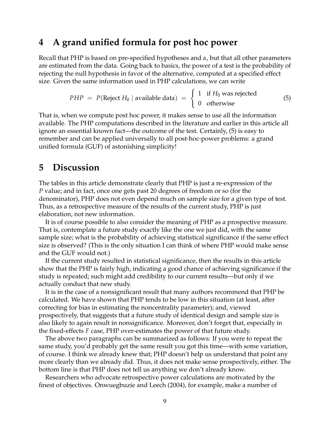# **4 A grand unified formula for post hoc power**

Recall that PHP is based on pre-specified hypotheses and *α*, but that all other parameters are estimated from the data. Going back to basics, the power of a test is the probability of rejecting the null hypothesis in favor of the alternative, computed at a specified effect size. Given the same information used in PHP calculations, we can write

$$
PHP = P(\text{Reject } H_0 \mid \text{available data}) = \begin{cases} 1 & \text{if } H_0 \text{ was rejected} \\ 0 & \text{otherwise} \end{cases} \tag{5}
$$

That is, when we compute post hoc power, it makes sense to use all the information available. The PHP computations described in the literature and earlier in this article all ignore an essential known fact—the outcome of the test. Certainly, (5) is easy to remember and can be applied universally to all post-hoc-power problems: a grand unified formula (GUF) of astonishing simplicity!

# **5 Discussion**

The tables in this article demonstrate clearly that PHP is just a re-expression of the *P* value; and in fact, once one gets past 20 degrees of freedom or so (for the denominator), PHP does not even depend much on sample size for a given type of test. Thus, as a retrospective measure of the results of the current study, PHP is just elaboration, not new information.

It is of course possible to also consider the meaning of PHP as a prospective measure. That is, contemplate a future study exactly like the one we just did, with the same sample size; what is the probability of achieving statistical significance if the same effect size is observed? (This is the only situation I can think of where PHP would make sense and the GUF would not.)

If the current study resulted in statistical significance, then the results in this article show that the PHP is fairly high, indicating a good chance of achieving significance if the study is repeated; such might add credibility to our current results—but only if we actually conduct that new study.

It is in the case of a nonsignificant result that many authors recommend that PHP be calculated. We have shown that PHP tends to be low in this situation (at least, after correcting for bias in estimating the noncentrality parameter); and, viewed prospectively, that suggests that a future study of identical design and sample size is also likely to again result in nonsignificance. Moreover, don't forget that, especially in the fixed-effects *F* case, PHP over-estimates the power of that future study.

The above two paragraphs can be summarized as follows: If you were to repeat the same study, you'd probably get the same result you got this time—with some variation, of course. I think we already knew that; PHP doesn't help us understand that point any more clearly than we already did. Thus, it does not make sense prospectively, either. The bottom line is that PHP does not tell us anything we don't already know.

Researchers who advocate retrospective power calculations are motivated by the finest of objectives. Onwuegbuzie and Leech (2004), for example, make a number of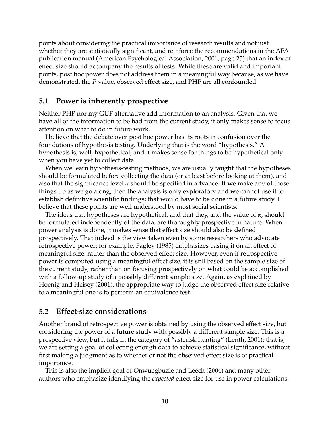points about considering the practical importance of research results and not just whether they are statistically significant, and reinforce the recommendations in the APA publication manual (American Psychological Association, 2001, page 25) that an index of effect size should accompany the results of tests. While these are valid and important points, post hoc power does not address them in a meaningful way because, as we have demonstrated, the *P* value, observed effect size, and PHP are all confounded.

### **5.1 Power is inherently prospective**

Neither PHP nor my GUF alternative add information to an analysis. Given that we have all of the information to be had from the current study, it only makes sense to focus attention on what to do in future work.

I believe that the debate over post hoc power has its roots in confusion over the foundations of hypothesis testing. Underlying that is the word "hypothesis." A hypothesis is, well, hypothetical; and it makes sense for things to be hypothetical only when you have yet to collect data.

When we learn hypothesis-testing methods, we are usually taught that the hypotheses should be formulated before collecting the data (or at least before looking at them), and also that the significance level *α* should be specified in advance. If we make any of those things up as we go along, then the analysis is only exploratory and we cannot use it to establish definitive scientific findings; that would have to be done in a future study. I believe that these points are well understood by most social scientists.

The ideas that hypotheses are hypothetical, and that they, and the value of *α*, should be formulated independently of the data, are thoroughly prospective in nature. When power analysis is done, it makes sense that effect size should also be defined prospectively. That indeed is the view taken even by some researchers who advocate retrospective power; for example, Fagley (1985) emphasizes basing it on an effect of meaningful size, rather than the observed effect size. However, even if retrospective power is computed using a meaningful effect size, it is still based on the sample size of the current study, rather than on focusing prospectively on what could be accomplished with a follow-up study of a possibly different sample size. Again, as explained by Hoenig and Heisey (2001), the appropriate way to judge the observed effect size relative to a meaningful one is to perform an equivalence test.

# **5.2 Effect-size considerations**

Another brand of retrospective power is obtained by using the observed effect size, but considering the power of a future study with possibly a different sample size. This is a prospective view, but it falls in the category of "asterisk hunting" (Lenth, 2001); that is, we are setting a goal of collecting enough data to achieve statistical significance, without first making a judgment as to whether or not the observed effect size is of practical importance.

This is also the implicit goal of Onwuegbuzie and Leech (2004) and many other authors who emphasize identifying the *expected* effect size for use in power calculations.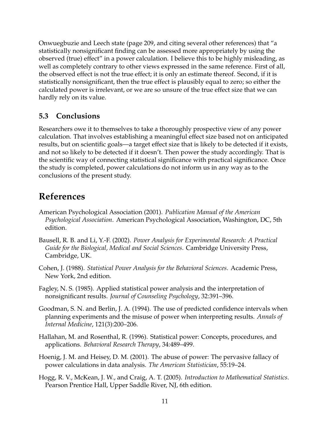Onwuegbuzie and Leech state (page 209, and citing several other references) that "a statistically nonsignificant finding can be assessed more appropriately by using the observed (true) effect" in a power calculation. I believe this to be highly misleading, as well as completely contrary to other views expressed in the same reference. First of all, the observed effect is not the true effect; it is only an estimate thereof. Second, if it is statistically nonsignificant, then the true effect is plausibly equal to zero; so either the calculated power is irrelevant, or we are so unsure of the true effect size that we can hardly rely on its value.

# **5.3 Conclusions**

Researchers owe it to themselves to take a thoroughly prospective view of any power calculation. That involves establishing a meaningful effect size based not on anticipated results, but on scientific goals—a target effect size that is likely to be detected if it exists, and not so likely to be detected if it doesn't. Then power the study accordingly. That is the scientific way of connecting statistical significance with practical significance. Once the study is completed, power calculations do not inform us in any way as to the conclusions of the present study.

# **References**

- American Psychological Association (2001). *Publication Manual of the American Psychological Association*. American Psychological Association, Washington, DC, 5th edition.
- Bausell, R. B. and Li, Y.-F. (2002). *Power Analysis for Experimental Research: A Practical Guide for the Biological, Medical and Social Sciences*. Cambridge University Press, Cambridge, UK.
- Cohen, J. (1988). *Statistical Power Analysis for the Behavioral Sciences*. Academic Press, New York, 2nd edition.
- Fagley, N. S. (1985). Applied statistical power analysis and the interpretation of nonsignificant results. *Journal of Counseling Psychology*, 32:391–396.
- Goodman, S. N. and Berlin, J. A. (1994). The use of predicted confidence intervals when planning experiments and the misuse of power when interpreting results. *Annals of Internal Medicine*, 121(3):200–206.
- Hallahan, M. and Rosenthal, R. (1996). Statistical power: Concepts, procedures, and applications. *Behavioral Research Therapy*, 34:489–499.
- Hoenig, J. M. and Heisey, D. M. (2001). The abuse of power: The pervasive fallacy of power calculations in data analysis. *The American Statistician*, 55:19–24.
- Hogg, R. V., McKean, J. W., and Craig, A. T. (2005). *Introduction to Mathematical Statistics*. Pearson Prentice Hall, Upper Saddle River, NJ, 6th edition.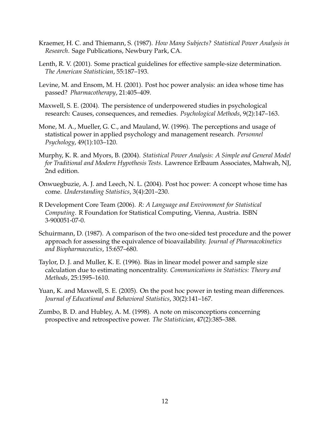- Kraemer, H. C. and Thiemann, S. (1987). *How Many Subjects? Statistical Power Analysis in Research*. Sage Publications, Newbury Park, CA.
- Lenth, R. V. (2001). Some practical guidelines for effective sample-size determination. *The American Statistician*, 55:187–193.
- Levine, M. and Ensom, M. H. (2001). Post hoc power analysis: an idea whose time has passed? *Pharmacotherapy*, 21:405–409.
- Maxwell, S. E. (2004). The persistence of underpowered studies in psychological research: Causes, consequences, and remedies. *Psychological Methods*, 9(2):147–163.
- Mone, M. A., Mueller, G. C., and Mauland, W. (1996). The perceptions and usage of statistical power in applied psychology and management research. *Personnel Psychology*, 49(1):103–120.
- Murphy, K. R. and Myors, B. (2004). *Statistical Power Analysis: A Simple and General Model for Traditional and Modern Hypothesis Tests*. Lawrence Erlbaum Associates, Mahwah, NJ, 2nd edition.
- Onwuegbuzie, A. J. and Leech, N. L. (2004). Post hoc power: A concept whose time has come. *Understanding Statistics*, 3(4):201–230.
- R Development Core Team (2006). *R: A Language and Environment for Statistical Computing*. R Foundation for Statistical Computing, Vienna, Austria. ISBN 3-900051-07-0.
- Schuirmann, D. (1987). A comparison of the two one-sided test procedure and the power approach for assessing the equivalence of bioavailability. *Journal of Pharmacokinetics and Biopharmaceutics*, 15:657–680.
- Taylor, D. J. and Muller, K. E. (1996). Bias in linear model power and sample size calculation due to estimating noncentrality. *Communications in Statistics: Theory and Methods*, 25:1595–1610.
- Yuan, K. and Maxwell, S. E. (2005). On the post hoc power in testing mean differences. *Journal of Educational and Behavioral Statistics*, 30(2):141–167.
- Zumbo, B. D. and Hubley, A. M. (1998). A note on misconceptions concerning prospective and retrospective power. *The Statistician*, 47(2):385–388.